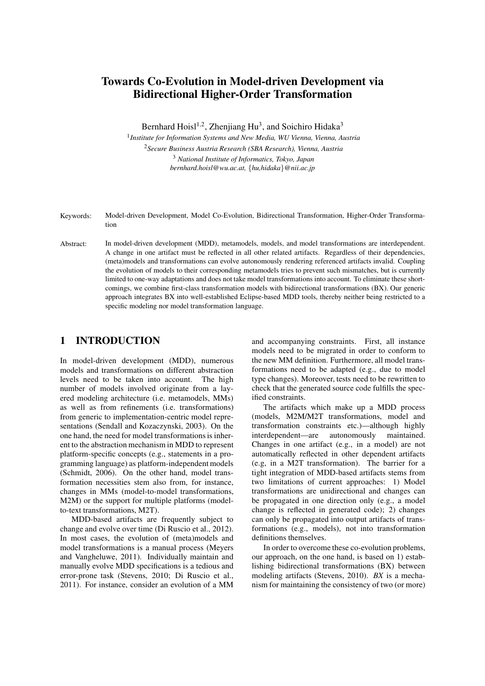# Towards Co-Evolution in Model-driven Development via Bidirectional Higher-Order Transformation

Bernhard Hoisl<sup>1,2</sup>, Zhenjiang Hu<sup>3</sup>, and Soichiro Hidaka<sup>3</sup>

 *Institute for Information Systems and New Media, WU Vienna, Vienna, Austria Secure Business Austria Research (SBA Research), Vienna, Austria National Institute of Informatics, Tokyo, Japan bernhard.hoisl@wu.ac.at,* {*hu,hidaka*}*@nii.ac.jp*

Keywords: Model-driven Development, Model Co-Evolution, Bidirectional Transformation, Higher-Order Transformation

Abstract: In model-driven development (MDD), metamodels, models, and model transformations are interdependent. A change in one artifact must be reflected in all other related artifacts. Regardless of their dependencies, (meta)models and transformations can evolve autonomously rendering referenced artifacts invalid. Coupling the evolution of models to their corresponding metamodels tries to prevent such mismatches, but is currently limited to one-way adaptations and does not take model transformations into account. To eliminate these shortcomings, we combine first-class transformation models with bidirectional transformations (BX). Our generic approach integrates BX into well-established Eclipse-based MDD tools, thereby neither being restricted to a specific modeling nor model transformation language.

## 1 INTRODUCTION

In model-driven development (MDD), numerous models and transformations on different abstraction levels need to be taken into account. The high number of models involved originate from a layered modeling architecture (i.e. metamodels, MMs) as well as from refinements (i.e. transformations) from generic to implementation-centric model representations (Sendall and Kozaczynski, 2003). On the one hand, the need for model transformations is inherent to the abstraction mechanism in MDD to represent platform-specific concepts (e.g., statements in a programming language) as platform-independent models (Schmidt, 2006). On the other hand, model transformation necessities stem also from, for instance, changes in MMs (model-to-model transformations, M2M) or the support for multiple platforms (modelto-text transformations, M2T).

MDD-based artifacts are frequently subject to change and evolve over time (Di Ruscio et al., 2012). In most cases, the evolution of (meta)models and model transformations is a manual process (Meyers and Vangheluwe, 2011). Individually maintain and manually evolve MDD specifications is a tedious and error-prone task (Stevens, 2010; Di Ruscio et al., 2011). For instance, consider an evolution of a MM

and accompanying constraints. First, all instance models need to be migrated in order to conform to the new MM definition. Furthermore, all model transformations need to be adapted (e.g., due to model type changes). Moreover, tests need to be rewritten to check that the generated source code fulfills the specified constraints.

The artifacts which make up a MDD process (models, M2M/M2T transformations, model and transformation constraints etc.)—although highly interdependent—are autonomously maintained. Changes in one artifact (e.g., in a model) are not automatically reflected in other dependent artifacts (e.g, in a M2T transformation). The barrier for a tight integration of MDD-based artifacts stems from two limitations of current approaches: 1) Model transformations are unidirectional and changes can be propagated in one direction only (e.g., a model change is reflected in generated code); 2) changes can only be propagated into output artifacts of transformations (e.g., models), not into transformation definitions themselves.

In order to overcome these co-evolution problems, our approach, on the one hand, is based on 1) establishing bidirectional transformations (BX) between modeling artifacts (Stevens, 2010). *BX* is a mechanism for maintaining the consistency of two (or more)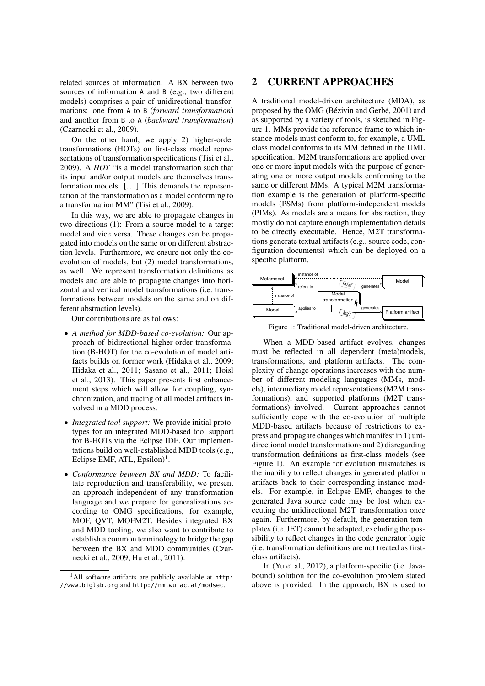related sources of information. A BX between two sources of information A and B (e.g., two different models) comprises a pair of unidirectional transformations: one from A to B (*forward transformation*) and another from B to A (*backward transformation*) (Czarnecki et al., 2009).

On the other hand, we apply 2) higher-order transformations (HOTs) on first-class model representations of transformation specifications (Tisi et al., 2009). A *HOT* "is a model transformation such that its input and/or output models are themselves transformation models. [...] This demands the representation of the transformation as a model conforming to a transformation MM" (Tisi et al., 2009).

In this way, we are able to propagate changes in two directions (1): From a source model to a target model and vice versa. These changes can be propagated into models on the same or on different abstraction levels. Furthermore, we ensure not only the coevolution of models, but (2) model transformations, as well. We represent transformation definitions as models and are able to propagate changes into horizontal and vertical model transformations (i.e. transformations between models on the same and on different abstraction levels).

Our contributions are as follows:

- *A method for MDD-based co-evolution:* Our approach of bidirectional higher-order transformation (B-HOT) for the co-evolution of model artifacts builds on former work (Hidaka et al., 2009; Hidaka et al., 2011; Sasano et al., 2011; Hoisl et al., 2013). This paper presents first enhancement steps which will allow for coupling, synchronization, and tracing of all model artifacts involved in a MDD process.
- *Integrated tool support:* We provide initial prototypes for an integrated MDD-based tool support for B-HOTs via the Eclipse IDE. Our implementations build on well-established MDD tools (e.g., Eclipse EMF, ATL, Epsilon)<sup>1</sup>.
- *Conformance between BX and MDD:* To facilitate reproduction and transferability, we present an approach independent of any transformation language and we prepare for generalizations according to OMG specifications, for example, MOF, QVT, MOFM2T. Besides integrated BX and MDD tooling, we also want to contribute to establish a common terminology to bridge the gap between the BX and MDD communities (Czarnecki et al., 2009; Hu et al., 2011).

### 2 CURRENT APPROACHES

A traditional model-driven architecture (MDA), as proposed by the OMG (Bézivin and Gerbé, 2001) and as supported by a variety of tools, is sketched in Figure 1. MMs provide the reference frame to which instance models must conform to, for example, a UML class model conforms to its MM defined in the UML specification. M2M transformations are applied over one or more input models with the purpose of generating one or more output models conforming to the same or different MMs. A typical M2M transformation example is the generation of platform-specific models (PSMs) from platform-independent models (PIMs). As models are a means for abstraction, they mostly do not capture enough implementation details to be directly executable. Hence, M2T transformations generate textual artifacts (e.g., source code, configuration documents) which can be deployed on a specific platform.



Figure 1: Traditional model-driven architecture.

When a MDD-based artifact evolves, changes must be reflected in all dependent (meta)models, transformations, and platform artifacts. The complexity of change operations increases with the number of different modeling languages (MMs, models), intermediary model representations (M2M transformations), and supported platforms (M2T transformations) involved. Current approaches cannot sufficiently cope with the co-evolution of multiple MDD-based artifacts because of restrictions to express and propagate changes which manifest in 1) unidirectional model transformations and 2) disregarding transformation definitions as first-class models (see Figure 1). An example for evolution mismatches is the inability to reflect changes in generated platform artifacts back to their corresponding instance models. For example, in Eclipse EMF, changes to the generated Java source code may be lost when executing the unidirectional M2T transformation once again. Furthermore, by default, the generation templates (i.e. JET) cannot be adapted, excluding the possibility to reflect changes in the code generator logic (i.e. transformation definitions are not treated as firstclass artifacts).

In (Yu et al., 2012), a platform-specific (i.e. Javabound) solution for the co-evolution problem stated above is provided. In the approach, BX is used to

<sup>&</sup>lt;sup>1</sup>All software artifacts are publicly available at http: //www.biglab.org and http://nm.wu.ac.at/modsec.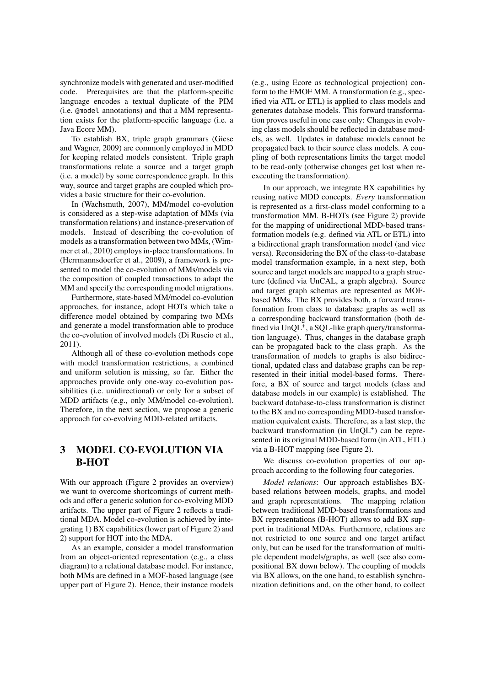synchronize models with generated and user-modified code. Prerequisites are that the platform-specific language encodes a textual duplicate of the PIM (i.e. @model annotations) and that a MM representation exists for the platform-specific language (i.e. a Java Ecore MM).

To establish BX, triple graph grammars (Giese and Wagner, 2009) are commonly employed in MDD for keeping related models consistent. Triple graph transformations relate a source and a target graph (i.e. a model) by some correspondence graph. In this way, source and target graphs are coupled which provides a basic structure for their co-evolution.

In (Wachsmuth, 2007), MM/model co-evolution is considered as a step-wise adaptation of MMs (via transformation relations) and instance-preservation of models. Instead of describing the co-evolution of models as a transformation between two MMs, (Wimmer et al., 2010) employs in-place transformations. In (Herrmannsdoerfer et al., 2009), a framework is presented to model the co-evolution of MMs/models via the composition of coupled transactions to adapt the MM and specify the corresponding model migrations.

Furthermore, state-based MM/model co-evolution approaches, for instance, adopt HOTs which take a difference model obtained by comparing two MMs and generate a model transformation able to produce the co-evolution of involved models (Di Ruscio et al., 2011).

Although all of these co-evolution methods cope with model transformation restrictions, a combined and uniform solution is missing, so far. Either the approaches provide only one-way co-evolution possibilities (i.e. unidirectional) or only for a subset of MDD artifacts (e.g., only MM/model co-evolution). Therefore, in the next section, we propose a generic approach for co-evolving MDD-related artifacts.

## 3 MODEL CO-EVOLUTION VIA B-HOT

With our approach (Figure 2 provides an overview) we want to overcome shortcomings of current methods and offer a generic solution for co-evolving MDD artifacts. The upper part of Figure 2 reflects a traditional MDA. Model co-evolution is achieved by integrating 1) BX capabilities (lower part of Figure 2) and 2) support for HOT into the MDA.

As an example, consider a model transformation from an object-oriented representation (e.g., a class diagram) to a relational database model. For instance, both MMs are defined in a MOF-based language (see upper part of Figure 2). Hence, their instance models (e.g., using Ecore as technological projection) conform to the EMOF MM. A transformation (e.g., specified via ATL or ETL) is applied to class models and generates database models. This forward transformation proves useful in one case only: Changes in evolving class models should be reflected in database models, as well. Updates in database models cannot be propagated back to their source class models. A coupling of both representations limits the target model to be read-only (otherwise changes get lost when reexecuting the transformation).

In our approach, we integrate BX capabilities by reusing native MDD concepts. *Every* transformation is represented as a first-class model conforming to a transformation MM. B-HOTs (see Figure 2) provide for the mapping of unidirectional MDD-based transformation models (e.g. defined via ATL or ETL) into a bidirectional graph transformation model (and vice versa). Reconsidering the BX of the class-to-database model transformation example, in a next step, both source and target models are mapped to a graph structure (defined via UnCAL, a graph algebra). Source and target graph schemas are represented as MOFbased MMs. The BX provides both, a forward transformation from class to database graphs as well as a corresponding backward transformation (both defined via UnQL<sup>+</sup>, a SQL-like graph query/transformation language). Thus, changes in the database graph can be propagated back to the class graph. As the transformation of models to graphs is also bidirectional, updated class and database graphs can be represented in their initial model-based forms. Therefore, a BX of source and target models (class and database models in our example) is established. The backward database-to-class transformation is distinct to the BX and no corresponding MDD-based transformation equivalent exists. Therefore, as a last step, the backward transformation (in UnQL<sup>+</sup>) can be represented in its original MDD-based form (in ATL, ETL) via a B-HOT mapping (see Figure 2).

We discuss co-evolution properties of our approach according to the following four categories.

*Model relations*: Our approach establishes BXbased relations between models, graphs, and model and graph representations. The mapping relation between traditional MDD-based transformations and BX representations (B-HOT) allows to add BX support in traditional MDAs. Furthermore, relations are not restricted to one source and one target artifact only, but can be used for the transformation of multiple dependent models/graphs, as well (see also compositional BX down below). The coupling of models via BX allows, on the one hand, to establish synchronization definitions and, on the other hand, to collect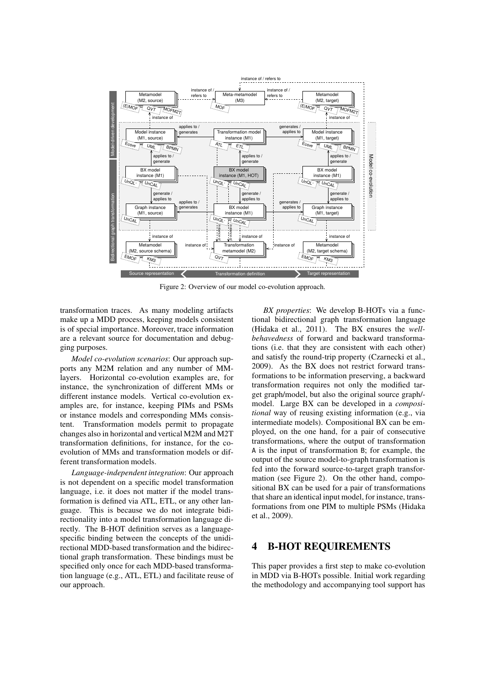

Figure 2: Overview of our model co-evolution approach.

transformation traces. As many modeling artifacts make up a MDD process, keeping models consistent is of special importance. Moreover, trace information are a relevant source for documentation and debugging purposes.

*Model co-evolution scenarios*: Our approach supports any M2M relation and any number of MMlayers. Horizontal co-evolution examples are, for instance, the synchronization of different MMs or different instance models. Vertical co-evolution examples are, for instance, keeping PIMs and PSMs or instance models and corresponding MMs consistent. Transformation models permit to propagate changes also in horizontal and vertical M2M and M2T transformation definitions, for instance, for the coevolution of MMs and transformation models or different transformation models.

*Language-independent integration*: Our approach is not dependent on a specific model transformation language, i.e. it does not matter if the model transformation is defined via ATL, ETL, or any other language. This is because we do not integrate bidirectionality into a model transformation language directly. The B-HOT definition serves as a languagespecific binding between the concepts of the unidirectional MDD-based transformation and the bidirectional graph transformation. These bindings must be specified only once for each MDD-based transformation language (e.g., ATL, ETL) and facilitate reuse of our approach.

*BX properties*: We develop B-HOTs via a functional bidirectional graph transformation language (Hidaka et al., 2011). The BX ensures the *wellbehavedness* of forward and backward transformations (i.e. that they are consistent with each other) and satisfy the round-trip property (Czarnecki et al., 2009). As the BX does not restrict forward transformations to be information preserving, a backward transformation requires not only the modified target graph/model, but also the original source graph/ model. Large BX can be developed in a *compositional* way of reusing existing information (e.g., via intermediate models). Compositional BX can be employed, on the one hand, for a pair of consecutive transformations, where the output of transformation A is the input of transformation B; for example, the output of the source model-to-graph transformation is fed into the forward source-to-target graph transformation (see Figure 2). On the other hand, compositional BX can be used for a pair of transformations that share an identical input model, for instance, transformations from one PIM to multiple PSMs (Hidaka et al., 2009).

#### 4 B-HOT REQUIREMENTS

This paper provides a first step to make co-evolution in MDD via B-HOTs possible. Initial work regarding the methodology and accompanying tool support has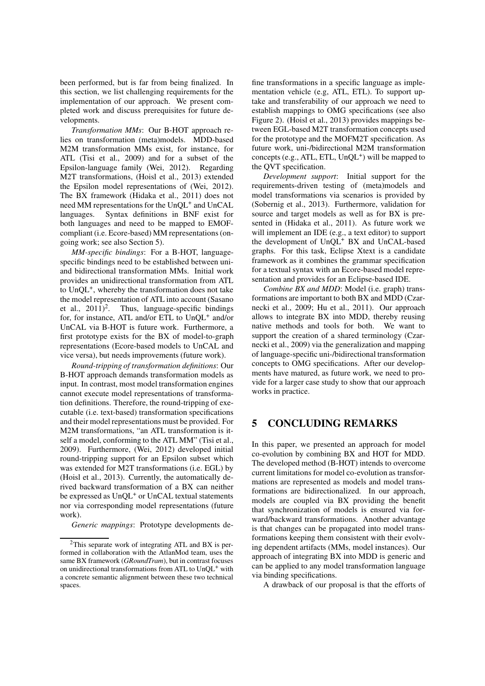been performed, but is far from being finalized. In this section, we list challenging requirements for the implementation of our approach. We present completed work and discuss prerequisites for future developments.

*Transformation MMs*: Our B-HOT approach relies on transformation (meta)models. MDD-based M2M transformation MMs exist, for instance, for ATL (Tisi et al., 2009) and for a subset of the Epsilon-language family (Wei, 2012). Regarding M2T transformations, (Hoisl et al., 2013) extended the Epsilon model representations of (Wei, 2012). The BX framework (Hidaka et al., 2011) does not need MM representations for the UnQL<sup>+</sup> and UnCAL languages. Syntax definitions in BNF exist for both languages and need to be mapped to EMOFcompliant (i.e. Ecore-based) MM representations (ongoing work; see also Section 5).

*MM-specific bindings*: For a B-HOT, languagespecific bindings need to be established between uniand bidirectional transformation MMs. Initial work provides an unidirectional transformation from ATL to UnQL<sup>+</sup>, whereby the transformation does not take the model representation of ATL into account (Sasano et al.,  $2011)^2$ . . Thus, language-specific bindings for, for instance, ATL and/or ETL to UnQL<sup>+</sup> and/or UnCAL via B-HOT is future work. Furthermore, a first prototype exists for the BX of model-to-graph representations (Ecore-based models to UnCAL and vice versa), but needs improvements (future work).

*Round-tripping of transformation definitions*: Our B-HOT approach demands transformation models as input. In contrast, most model transformation engines cannot execute model representations of transformation definitions. Therefore, the round-tripping of executable (i.e. text-based) transformation specifications and their model representations must be provided. For M2M transformations, "an ATL transformation is itself a model, conforming to the ATL MM" (Tisi et al., 2009). Furthermore, (Wei, 2012) developed initial round-tripping support for an Epsilon subset which was extended for M2T transformations (i.e. EGL) by (Hoisl et al., 2013). Currently, the automatically derived backward transformation of a BX can neither be expressed as  $UnQL^+$  or  $UnCAL$  textual statements nor via corresponding model representations (future work).

*Generic mappings*: Prototype developments de-

fine transformations in a specific language as implementation vehicle (e.g, ATL, ETL). To support uptake and transferability of our approach we need to establish mappings to OMG specifications (see also Figure 2). (Hoisl et al., 2013) provides mappings between EGL-based M2T transformation concepts used for the prototype and the MOFM2T specification. As future work, uni-/bidirectional M2M transformation concepts (e.g., ATL, ETL, UnQL<sup>+</sup>) will be mapped to the QVT specification.

*Development support*: Initial support for the requirements-driven testing of (meta)models and model transformations via scenarios is provided by (Sobernig et al., 2013). Furthermore, validation for source and target models as well as for BX is presented in (Hidaka et al., 2011). As future work we will implement an IDE (e.g., a text editor) to support the development of UnQL<sup>+</sup> BX and UnCAL-based graphs. For this task, Eclipse Xtext is a candidate framework as it combines the grammar specification for a textual syntax with an Ecore-based model representation and provides for an Eclipse-based IDE.

*Combine BX and MDD*: Model (i.e. graph) transformations are important to both BX and MDD (Czarnecki et al., 2009; Hu et al., 2011). Our approach allows to integrate BX into MDD, thereby reusing native methods and tools for both. We want to support the creation of a shared terminology (Czarnecki et al., 2009) via the generalization and mapping of language-specific uni-/bidirectional transformation concepts to OMG specifications. After our developments have matured, as future work, we need to provide for a larger case study to show that our approach works in practice.

### 5 CONCLUDING REMARKS

In this paper, we presented an approach for model co-evolution by combining BX and HOT for MDD. The developed method (B-HOT) intends to overcome current limitations for model co-evolution as transformations are represented as models and model transformations are bidirectionalized. In our approach, models are coupled via BX providing the benefit that synchronization of models is ensured via forward/backward transformations. Another advantage is that changes can be propagated into model transformations keeping them consistent with their evolving dependent artifacts (MMs, model instances). Our approach of integrating BX into MDD is generic and can be applied to any model transformation language via binding specifications.

A drawback of our proposal is that the efforts of

<sup>2</sup>This separate work of integrating ATL and BX is performed in collaboration with the AtlanMod team, uses the same BX framework (*GRoundTram*), but in contrast focuses on unidirectional transformations from ATL to UnQL<sup>+</sup> with a concrete semantic alignment between these two technical spaces.